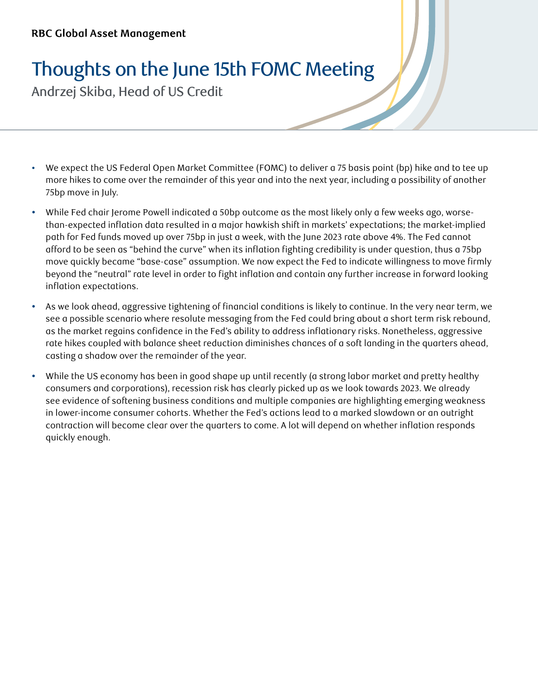## Thoughts on the June 15th FOMC Meeting

Andrzej Skiba, Head of US Credit

- We expect the US Federal Open Market Committee (FOMC) to deliver a 75 basis point (bp) hike and to tee up more hikes to come over the remainder of this year and into the next year, including a possibility of another 75bp move in July.
- While Fed chair Jerome Powell indicated a 50bp outcome as the most likely only a few weeks ago, worsethan-expected inflation data resulted in a major hawkish shift in markets' expectations; the market-implied path for Fed funds moved up over 75bp in just a week, with the June 2023 rate above 4%. The Fed cannot afford to be seen as "behind the curve" when its inflation fighting credibility is under question, thus a 75bp move quickly became "base-case" assumption. We now expect the Fed to indicate willingness to move firmly beyond the "neutral" rate level in order to fight inflation and contain any further increase in forward looking inflation expectations.
- \* As we look ahead, aggressive tightening of financial conditions is likely to continue. In the very near term, we see a possible scenario where resolute messaging from the Fed could bring about a short term risk rebound, as the market regains confidence in the Fed's ability to address inflationary risks. Nonetheless, aggressive rate hikes coupled with balance sheet reduction diminishes chances of a soft landing in the quarters ahead, casting a shadow over the remainder of the year.
- y While the US economy has been in good shape up until recently (a strong labor market and pretty healthy consumers and corporations), recession risk has clearly picked up as we look towards 2023. We already see evidence of softening business conditions and multiple companies are highlighting emerging weakness in lower-income consumer cohorts. Whether the Fed's actions lead to a marked slowdown or an outright contraction will become clear over the quarters to come. A lot will depend on whether inflation responds quickly enough.